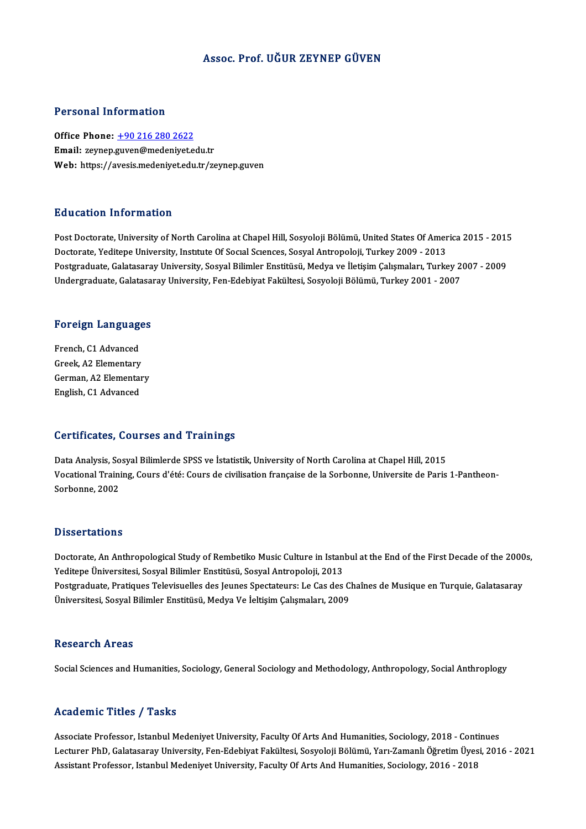#### Assoc. Prof. UĞUR ZEYNEP GÜVEN

#### Personal Information

Office Phone: +90 216 280 2622 Email: zeynep.[guven@medeniyet.e](tel:+90 216 280 2622)du.tr Web: https://avesis.medeniyet.edu.tr/zeynep.guven

#### Education Information

Post Doctorate, University of North Carolina at Chapel Hill, Sosyoloji Bölümü, United States Of America 2015 - 2015 Doctorate, Yeditepe University, Institute Of Social Sciences, Sosyal Antropoloji, Turkey 2009 - 2013 Postgraduate, Galatasaray University, Sosyal Bilimler Enstitüsü, Medya ve İletişim Çalışmaları, Turkey 2007 - 2009 Undergraduate, Galatasaray University, Fen-Edebiyat Fakültesi, Sosyoloji Bölümü, Turkey 2001 - 2007

# <sub>ondergraduate, Galatasa.</sub><br>Foreign Languages

**Foreign Language<br>French, C1 Advanced<br>Creek, A2 Elementeru** French, C1 Advanced<br>Greek, A2 Elementary French, C1 Advanced<br>Greek, A2 Elementary<br>German, A2 Elementary<br>English, C1 Advanced Greek, A2 Elementary<br>German, A2 Elementar<br>English, C1 Advanced

# English, C1 Advanced<br>Certificates, Courses and Trainings

Data Analysis, Sosyal Bilimlerde SPSS ve İstatistik, University of North Carolina at Chapel Hill, 2015 Oor enreates), Goarsos and Frammigs<br>Data Analysis, Sosyal Bilimlerde SPSS ve İstatistik, University of North Carolina at Chapel Hill, 2015<br>Vocational Training, Cours d'été: Cours de civilisation française de la Sorbonne, U Data Analysis, So<br>Vocational Traini<br>Sorbonne, 2002 Sorbonne, 2002<br>Dissertations

Dissertations<br>Doctorate, An Anthropological Study of Rembetiko Music Culture in Istanbul at the End of the First Decade of the 2000s,<br>Yeditane Universitesi, Sesual Bilimler Enstitüsü, Sesual Antropoloji, 2012. *Yasser tatrons*<br>Doctorate, An Anthropological Study of Rembetiko Music Culture in Istani<br>Yeditepe Üniversitesi, Sosyal Bilimler Enstitüsü, Sosyal Antropoloji, 2013<br>Postanaduate Pratiques Televiauelles des Jeunes Spectateu Doctorate, An Anthropological Study of Rembetiko Music Culture in Istanbul at the End of the First Decade of the 2000<br>Yeditepe Üniversitesi, Sosyal Bilimler Enstitüsü, Sosyal Antropoloji, 2013<br>Postgraduate, Pratiques Telev Yeditepe Üniversitesi, Sosyal Bilimler Enstitüsü, Sosyal Antropoloji, 2013<br>Postgraduate, Pratiques Televisuelles des Jeunes Spectateurs: Le Cas des C<br>Üniversitesi, Sosyal Bilimler Enstitüsü, Medya Ve İeltişim Çalışmaları, Üniversitesi, Sosyal Bilimler Enstitüsü, Medya Ve İeltişim Çalışmaları, 2009<br>Research Areas

Social Sciences and Humanities, Sociology, General Sociology and Methodology, Anthropology, Social Anthroplogy

#### Academic Titles / Tasks

Academic Titles / Tasks<br>Associate Professor, Istanbul Medeniyet University, Faculty Of Arts And Humanities, Sociology, 2018 - Continues<br>Lecturer PhD, Colategoray University, Fen Edebiyet Fakültesi, Sosyalaji Pälümü, Yaru Z Lecturer PhD, Galatasaray University, Fen-Edebiyat Fakültesi, Sosyoloji Bölümü, Yarı-Zamanlı Öğretim Üyesi, 2016 - 2021<br>Assistant Professor, Istanbul Medeniyet University, Faculty Of Arts And Humanities, Sociology, 2016 - Associate Professor, Istanbul Medeniyet University, Faculty Of Arts And Humanities, Sociology, 2018 - Cont<br>Lecturer PhD, Galatasaray University, Fen-Edebiyat Fakültesi, Sosyoloji Bölümü, Yarı-Zamanlı Öğretim Üyes<br>Assistant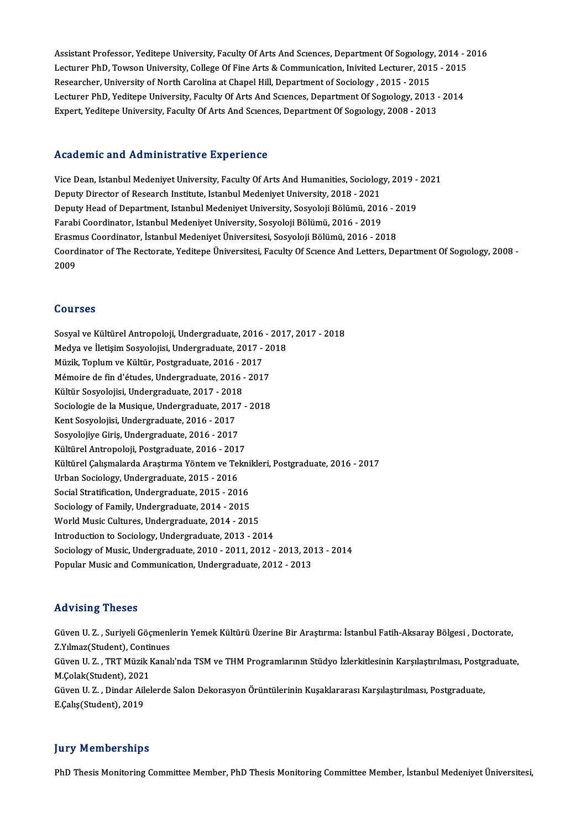Assistant Professor, Yeditepe University, Faculty Of Arts And Sciences, Department Of Sogiology, 2014 - 2016<br>Legturer PhD, Tourear University, College Of Eine Arts & Communisation, Inivited Legturer, 2015 - 2015 Assistant Professor, Yeditepe University, Faculty Of Arts And Sciences, Department Of Sogiology, 2014 - 2<br>Lecturer PhD, Towson University, College Of Fine Arts & Communication, Inivited Lecturer, 2015 - 2015<br>Researsher Uni Assistant Professor, Yeditepe University, Faculty Of Arts And Sciences, Department Of Sogiology<br>Lecturer PhD, Towson University, College Of Fine Arts & Communication, Inivited Lecturer, 201<br>Researcher, University of North Lecturer PhD, Towson University, College Of Fine Arts & Communication, Inivited Lecturer, 2015 - 2015<br>Researcher, University of North Carolina at Chapel Hill, Department of Sociology , 2015 - 2015<br>Lecturer PhD, Yeditepe Un Researcher, University of North Carolina at Chapel Hill, Department of Sociology , 2015 - 2015<br>Lecturer PhD, Yeditepe University, Faculty Of Arts And Scıences, Department Of Sogıology, 2013 -<br>Expert, Yeditepe University, F Expert, Yeditepe University, Faculty Of Arts And Sciences, Department Of Sogiology, 2008 - 2013<br>Academic and Administrative Experience

ViceDean, IstanbulMedeniyetUniversity,FacultyOfArtsAndHumanities,Sociology,2019 -2021 Deputy Director of Research Institute, Istanbul Medeniyet University, 2018 - 2021 Vice Dean, Istanbul Medeniyet University, Faculty Of Arts And Humanities, Sociology, 2019 -<br>Deputy Director of Research Institute, Istanbul Medeniyet University, 2018 - 2021<br>Deputy Head of Department, Istanbul Medeniyet Un Deputy Director of Research Institute, Istanbul Medeniyet University, 2018 - 2021<br>Deputy Head of Department, Istanbul Medeniyet University, Sosyoloji Bölümü, 2016<br>Farabi Coordinator, Istanbul Medeniyet University, Sosyoloj Deputy Head of Department, Istanbul Medeniyet University, Sosyoloji Bölümü, 2016 - 2<br>Farabi Coordinator, Istanbul Medeniyet University, Sosyoloji Bölümü, 2016 - 2019<br>Erasmus Coordinator, İstanbul Medeniyet Üniversitesi, So Farabi Coordinator, Istanbul Medeniyet University, Sosyoloji Bölümü, 2016 - 2019<br>Erasmus Coordinator, İstanbul Medeniyet Üniversitesi, Sosyoloji Bölümü, 2016 - 2018<br>Coordinator of The Rectorate, Yeditepe Üniversitesi, Facu Erasmus Coordinator, İstanbul Medeniyet Üniversitesi, Sosyoloji Bölümü, 2016 - 2018

#### Courses

Sosyal ve Kültürel Antropoloji, Undergraduate, 2016 - 2017, 2017 - 2018 Sosyal ve Kültürel Antropoloji, Undergraduate, 2016 - 2017<br>Medya ve İletişim Sosyolojisi, Undergraduate, 2017 - 2018<br>Müzik Toplum ve Kültür, Bostaraduate, 2016 - 2017 Sosyal ve Kültürel Antropoloji, Undergraduate, 2016<br>Medya ve İletişim Sosyolojisi, Undergraduate, 2017 -<br>Müzik, Toplum ve Kültür, Postgraduate, 2016 - 2017<br>Mémoire de fin d'études, Undergraduate, 2016 - 2017 Medya ve İletişim Sosyolojisi, Undergraduate, 2017 - 20<br>Müzik, Toplum ve Kültür, Postgraduate, 2016 - 2017<br>Mémoire de fin d'études, Undergraduate, 2016 - 2017<br>Kültür Sosyolojisi, Undergraduate, 2017 - 2019 Müzik, Toplum ve Kültür, Postgraduate, 2016 - 2017<br>Mémoire de fin d'études, Undergraduate, 2016 - 2017<br>Kültür Sosyolojisi, Undergraduate, 2017 - 2018<br>Sociologie de la Musique, Undergraduate, 2017 - 2018 Mémoire de fin d'études, Undergraduate, 2016 - 2017<br>Kültür Sosyolojisi, Undergraduate, 2017 - 2018<br>Sociologie de la Musique, Undergraduate, 2017 - 2018<br>Kent Sosyolojisi, Undergraduate, 2016 - 2017 Kültür Sosyolojisi, Undergraduate, 2017 - 2018 Sociologie de la Musique, Undergraduate, 2017<br>Kent Sosyolojisi, Undergraduate, 2016 - 2017<br>Sosyolojiye Giriş, Undergraduate, 2016 - 2017<br>Kültünel Antronoloji, Bostareduate, 2016 - 2017 Kent Sosyolojisi, Undergraduate, 2016 - 2017<br>Sosyolojiye Giriş, Undergraduate, 2016 - 2017<br>Kültürel Antropoloji, Postgraduate, 2016 - 2017<br>Kültürel Columalarda Arastuma Vöntem ve Telm Kültürel Antropoloji, Postgraduate, 2016 - 2017<br>Kültürel Çalışmalarda Araştırma Yöntem ve Teknikleri, Postgraduate, 2016 - 2017 Urban Sociology, Undergraduate, 2015 - 2016 Social Stratification, Undergraduate, 2015 - 2016 Sociology of Family, Undergraduate, 2014 - 2015 Social Stratification, Undergraduate, 2015 - 2016<br>Sociology of Family, Undergraduate, 2014 - 2015<br>World Music Cultures, Undergraduate, 2014 - 2015<br>Introduction to Sociology, Undergraduate, 2013 - 20 Sociology of Family, Undergraduate, 2014 - 2015<br>World Music Cultures, Undergraduate, 2014 - 2015<br>Introduction to Sociology, Undergraduate, 2013 - 2014<br>Sociology of Music Undergraduate, 2010, 2011, 2012 Introduction to Sociology, Undergraduate, 2013 - 2014<br>Sociology of Music, Undergraduate, 2010 - 2011, 2012 - 2013, 2013 - 2014 Popular Music and Communication, Undergraduate, 2012 - 2013

#### Advising Theses

**Advising Theses**<br>Güven U. Z. , Suriyeli Göçmenlerin Yemek Kültürü Üzerine Bir Araştırma: İstanbul Fatih-Aksaray Bölgesi , Doctorate,<br>Z.Y.Y.maz(Student), Continues TRAVISTING TIRBORS<br>Güven U. Z. , Suriyeli Göçmenl<br>Z.Yılmaz(Student), Continues<br>Cüven U. Z., TPT Müzik Kanal Güven U. Z. , Suriyeli Göçmenlerin Yemek Kültürü Üzerine Bir Araştırma: İstanbul Fatih-Aksaray Bölgesi , Doctorate,<br>Z.Yılmaz(Student), Continues<br>Güven U. Z. , TRT Müzik Kanalı'nda TSM ve THM Programlarının Stüdyo İzlerkitl Z.Yılmaz(Student), Conti<br>Güven U. Z. , TRT Müzik I<br>M.Çolak(Student), 2021<br>Güven U. Z., Dinden Ailel Güven U. Z. , TRT Müzik Kanalı'nda TSM ve THM Programlarının Stüdyo İzlerkitlesinin Karşılaştırılması, Postg<br>M.Çolak(Student), 2021<br>Güven U. Z. , Dindar Ailelerde Salon Dekorasyon Örüntülerinin Kuşaklararası Karşılaştırılm M.Çolak(Student), 2021<br>Güven U. Z. , Dindar Ailelerde Salon Dekorasyon Örüntülerinin Kuşaklararası Karşılaştırılması, Postgraduate,<br>E.Çalış(Student), 2019

#### **Jury Memberships**

PhD Thesis Monitoring Committee Member, PhD Thesis Monitoring Committee Member, İstanbul Medeniyet Üniversitesi,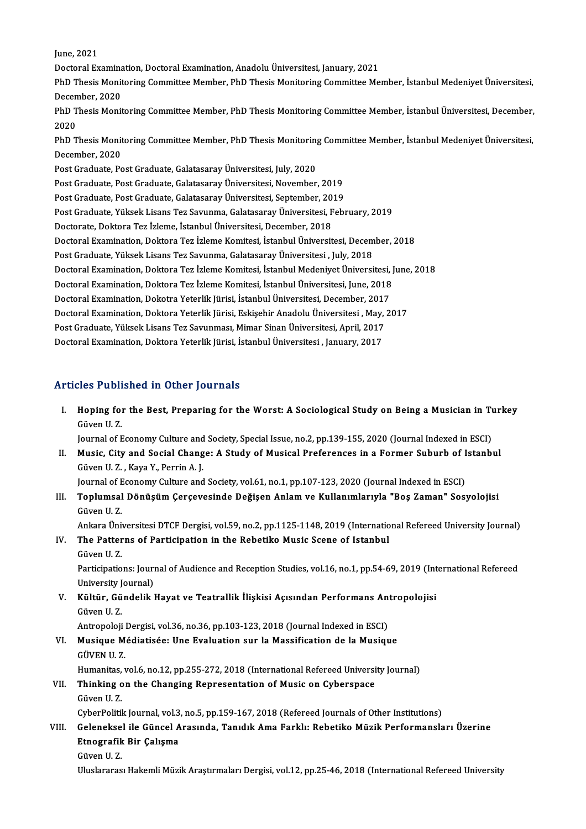June,2021 June, 2021<br>Doctoral Examination, Doctoral Examination, Anadolu Üniversitesi, January, 2021<br>PhD Thesis Monitaring Committee Member, PhD Thesis Monitaring Committee Me PhD Thesis Monitoring Committee Member, PhD Thesis Monitoring Committee Member, İstanbul Medeniyet Üniversitesi,<br>December, 2020 Doctoral Examina<br>PhD Thesis Monit<br>December, 2020<br>PhD Thesis Monit PhD Thesis Monitoring Committee Member, PhD Thesis Monitoring Committee Member, İstanbul Medeniyet Üniversitesi,<br>December, 2020<br>PhD Thesis Monitoring Committee Member, PhD Thesis Monitoring Committee Member, İstanbul Ünive Decen<br>PhD T<br>2020<br>מתח PhD Thesis Monitoring Committee Member, PhD Thesis Monitoring Committee Member, İstanbul Üniversitesi, December,<br>2020<br>PhD Thesis Monitoring Committee Member, PhD Thesis Monitoring Committee Member, İstanbul Medeniyet Ünive 2020<br>PhD Thesis Monit<br>December, 2020<br>Post Craduato Bo PhD Thesis Monitoring Committee Member, PhD Thesis Monitoring<br>December, 2020<br>Post Graduate, Post Graduate, Galatasaray Üniversitesi, July, 2020<br>Post Craduate, Post Craduate, Galatasaray Üniversitesi, November December, 2020<br>Post Graduate, Post Graduate, Galatasaray Üniversitesi, July, 2020<br>Post Graduate, Post Graduate, Galatasaray Üniversitesi, November, 2019<br>Post Craduate, Post Craduate, Galatasaray Üniversitesi, Sontember, 20 Post Graduate, Post Graduate, Galatasaray Üniversitesi, July, 2020<br>Post Graduate, Post Graduate, Galatasaray Üniversitesi, November, 2019<br>Post Graduate, Post Graduate, Galatasaray Üniversitesi, September, 2019<br>Post Craduat Post Graduate, Yüksek Lisans Tez Savunma, Galatasaray Üniversitesi, February, 2019<br>Doctorate, Doktora Tez İzleme, İstanbul Üniversitesi, December, 2018 Post Graduate, Post Graduate, Galatasaray Üniversitesi, September, 2019 Post Graduate, Yüksek Lisans Tez Savunma, Galatasaray Üniversitesi, February, 2019<br>Doctorate, Doktora Tez İzleme, İstanbul Üniversitesi, December, 2018<br>Doctoral Examination, Doktora Tez İzleme Komitesi, İstanbul Üniversite Doctorate, Doktora Tez İzleme, İstanbul Üniversitesi, December, 2018<br>Doctoral Examination, Doktora Tez İzleme Komitesi, İstanbul Üniversitesi, Decem<br>Post Graduate, Yüksek Lisans Tez Savunma, Galatasaray Üniversitesi , July Doctoral Examination, Doktora Tez İzleme Komitesi, İstanbul Üniversitesi, December, 2018<br>Post Graduate, Yüksek Lisans Tez Savunma, Galatasaray Üniversitesi , July, 2018<br>Doctoral Examination, Doktora Tez İzleme Komitesi, İs Post Graduate, Yüksek Lisans Tez Savunma, Galatasaray Üniversitesi , July, 2018<br>Doctoral Examination, Doktora Tez İzleme Komitesi, İstanbul Medeniyet Üniversitesi,<br>Doctoral Examination, Doktora Tez İzleme Komitesi, İstanbu Doctoral Examination, Doktora Tez İzleme Komitesi, İstanbul Medeniyet Üniversitesi, June, 2018 Doctoral Examination, Doktora Tez İzleme Komitesi, İstanbul Üniversitesi, June, 2018<br>Doctoral Examination, Dokotra Yeterlik Jürisi, İstanbul Üniversitesi, December, 2017<br>Doctoral Examination, Doktora Yeterlik Jürisi, Eskiş Doctoral Examination, Dokotra Yeterlik Jürisi, İstanbul Üniversitesi, December, 2017<br>Doctoral Examination, Doktora Yeterlik Jürisi, Eskişehir Anadolu Üniversitesi , May,<br>Post Graduate, Yüksek Lisans Tez Savunması, Mimar Si Doctoral Examination, Doktora Yeterlik Jürisi, Eskişehir Anadolu Üniversitesi , May,<br>Post Graduate, Yüksek Lisans Tez Savunması, Mimar Sinan Üniversitesi, April, 2017<br>Doctoral Examination, Doktora Yeterlik Jürisi, İstanbul Doctoral Examination, Doktora Yeterlik Jürisi, İstanbul Üniversitesi , January, 2017<br>Articles Published in Other Journals

rticles Published in Other Journals<br>I. Hoping for the Best, Preparing for the Worst: A Sociological Study on Being a Musician in Turkey<br>Civen U.Z. Hoping for<br>Hoping for<br>Güven U. Z.<br>Journal of E Hoping for the Best, Preparing for the Worst: A Sociological Study on Being a Musician in Tu<br>Güven U. Z.<br>Journal of Economy Culture and Society, Special Issue, no.2, pp.139-155, 2020 (Journal Indexed in ESCI)<br>Music, City a Güven U. Z.<br>Journal of Economy Culture and Society, Special Issue, no.2, pp.139-155, 2020 (Journal Indexed in ESCI)<br>II. Music, City and Social Change: A Study of Musical Preferences in a Former Suburb of Istanbul<br>Cüyen U. Journal of Economy Culture and Society, Special Issue, no.2, pp.139-155, 2020 (Journal Indexed in ESCI) Music, City and Social Change: A Study of Musical Preferences in a Former Suburb of Istanb Güven U.Z., Kaya Y., Perrin

Music, City and Social Change: A Study of Musical Preferences in a Former Suburb of I<br>Güven U. Z. , Kaya Y., Perrin A. J.<br>Journal of Economy Culture and Society, vol.61, no.1, pp.107-123, 2020 (Journal Indexed in ESCI)<br>Top Journal of Economy Culture and Society, vol.61, no.1, pp.107-123, 2020 (Journal Indexed in ESCI)

III. Toplumsal Dönüşüm Çerçevesinde Değişen Anlam ve Kullanımlarıyla "Boş Zaman" Sosyolojisi<br>Güven U.Z. Toplumsal Dönüşüm Çerçevesinde Değişen Anlam ve Kullanımlarıyla "Boş Zaman" Sosyolojisi<br>Güven U. Z.<br>Ankara Üniversitesi DTCF Dergisi, vol.59, no.2, pp.1125-1148, 2019 (International Refereed University Journal)<br>The Pettern

- IV. The Patterns of Participation in the Rebetiko Music Scene of Istanbul Ankara Üniv<br>**The Patter**<br>Güven U. Z.<br>Particinatio Participations: Journal of Audience and Reception Studies, vol.16, no.1, pp.54-69, 2019 (International Refereed University Journal)
- Participations: Journal of Audience and Reception Studies, vol.16, no.1, pp.54-69, 2019 (Int<br>University Journal)<br>V. Kültür, Gündelik Hayat ve Teatrallik İlişkisi Açısından Performans Antropolojisi<br>Güyen II Z University J<br>**Kültür, Gü**<br>Güven U. Z.<br>Antropoloji Kültür, Gündelik Hayat ve Teatrallik İlişkisi Açısından Performans An<br>Güven U. Z.<br>Antropoloji Dergisi, vol.36, no.36, pp.103-123, 2018 (Journal Indexed in ESCI)<br>Musique Médiatisée: Une Eveluation sur le Messifisation de la

Antropoloji Dergisi, vol.36, no.36, pp.103-123, 2018 (Journal Indexed in ESCI)

- Güven U. Z.<br>Antropoloji Dergisi, vol.36, no.36, pp.103-123, 2018 (Journal Indexed in ESCI)<br>VI. Musique Médiatisée: Une Evaluation sur la Massification de la Musique<br>GÜVEN U. Z. Humanitas, vol.6, no.12, pp.255-272, 2018 (International Refereed University Journal) GÜVEN U. Z.<br>Humanitas, vol.6, no.12, pp.255-272, 2018 (International Refereed Universi<br>VII. Thinking on the Changing Representation of Music on Cyberspace<br>Cöven U. Z.
- Humanitas,<br>**Thinking o**<br>Güven U. Z.<br>CyberPolitil Thinking on the Changing Representation of Music on Cyberspace<br>Güven U. Z.<br>CyberPolitik Journal, vol.3, no.5, pp.159-167, 2018 (Refereed Journals of Other Institutions)<br>Celengized ile Cüneel Aresunde, Tenuduk Ame Ferkly Re

Güven U. Z.<br>CyberPolitik Journal, vol.3, no.5, pp.159-167, 2018 (Refereed Journals of Other Institutions)<br>VIII. Geleneksel ile Güncel Arasında, Tanıdık Ama Farklı: Rebetiko Müzik Performansları Üzerine<br>Etnografik Bir G CyberPolitik Journal, vol.3<br>Geleneksel ile Güncel A<br>Etnografik Bir Çalışma<br>Güyen II 7 Gelenekse<br>Etnografik<br>Güven U. Z.<br>Uluelarense Etnografik Bir Çalışma<br>Güven U. Z.<br>Uluslararası Hakemli Müzik Araştırmaları Dergisi, vol.12, pp.25-46, 2018 (International Refereed University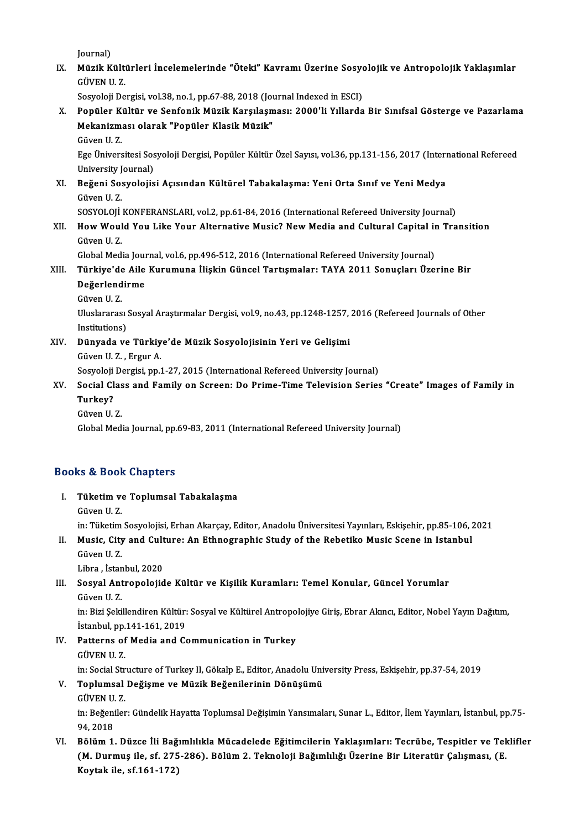Journal)

Journal)<br>IX. Müzik Kültürleri İncelemelerinde "Öteki" Kavramı Üzerine Sosyolojik ve Antropolojik Yaklaşımlar<br>CÜVEN U.Z Journal)<br><mark>Müzik Kült</mark>i<br>GÜVEN U. Z.<br>Segyeleji De Müzik Kültürleri İncelemelerinde "Öteki" Kavramı Üzerine Sosyo<br>GÜVEN U. Z.<br>Sosyoloji Dergisi, vol.38, no.1, pp.67-88, 2018 (Journal Indexed in ESCI)<br>Penülar Kültün ve Sonfanik Mürik Karsılasması: 2000'li Yıllarda

GÜVEN U. Z.<br>Sosyoloji Dergisi, vol.38, no.1, pp.67-88, 2018 (Journal Indexed in ESCI)<br>X. Popüler Kültür ve Senfonik Müzik Karşılaşması: 2000'li Yıllarda Bir Sınıfsal Gösterge ve Pazarlama<br>Mekanizması olarak "Ponüler Kl Sosyoloji Dergisi, vol.38, no.1, pp.67-88, 2018 (Journal Indexed in ESCI)<br>Popüler Kültür ve Senfonik Müzik Karşılaşması: 2000'li Yıllarda<br>Mekanizması olarak "Popüler Klasik Müzik"<br>Güven U. Z. Popüler K<br>Mekanizm<br>Güven U. Z.<br>Ege Ünivers

Mekanizması olarak "Popüler Klasik Müzik"<br>Güven U. Z.<br>Ege Üniversitesi Sosyoloji Dergisi, Popüler Kültür Özel Sayısı, vol.36, pp.131-156, 2017 (International Refereed<br>University Journal) Güven U. Z.<br>Ege Üniversitesi Sos<br>University Journal)<br>Boğani Sosyolojis Ege Üniversitesi Sosyoloji Dergisi, Popüler Kültür Özel Sayısı, vol.36, pp.131-156, 2017 (Interi University Journal)<br>XI. Beğeni Sosyolojisi Açısından Kültürel Tabakalaşma: Yeni Orta Sınıf ve Yeni Medya<br>Cüyen H.Z

## University J<br>Be<mark>ğeni So:</mark><br>Güven U. Z.<br>SOSVOLOU. Beğeni Sosyolojisi Açısından Kültürel Tabakalaşma: Yeni Orta Sınıf ve Yeni Medya<br>Güven U. Z.<br>SOSYOLOJİ KONFERANSLARI, vol.2, pp.61-84, 2016 (International Refereed University Journal)<br>How Would You Like Your Alternative Mu

## Güven U. Z.<br>SOSYOLOJİ KONFERANSLARI, vol.2, pp.61-84, 2016 (International Refereed University Journal)<br>XII. How Would You Like Your Alternative Music? New Media and Cultural Capital in Transition<br>Cüven U. Z SOSYOLOJİ<br>How Woul<br>Güven U. Z.<br>Clabel Med How Would You Like Your Alternative Music? New Media and Cultural Capital in<br>Global Media Journal, vol.6, pp.496-512, 2016 (International Refereed University Journal)<br>Türkiye'de Aile Kunumune İlişkin Güneel Tertsmaları TAY

## Güven U. Z.<br>Global Media Journal, vol.6, pp.496-512, 2016 (International Refereed University Journal)<br>XIII. Türkiye'de Aile Kurumuna İlişkin Güncel Tartışmalar: TAYA 2011 Sonuçları Üzerine Bir<br>Değerlendinme Global Media Journal, vol.6, pp.496-512, 2016 (International Refereed University Journal)<br>Türkiye'de Aile Kurumuna İlişkin Güncel Tartışmalar: TAYA 2011 Sonuçları Üze<br>Değerlendirme<br>Güven U. Z. Türkiye'de<br>Değerlend<br>Güven U. Z.<br>Uluslarares

Değerlendirme<br>Güven U. Z.<br>Uluslararası Sosyal Araştırmalar Dergisi, vol.9, no.43, pp.1248-1257, 2016 (Refereed Journals of Other<br>Institutione) Güven U. Z.<br>Uluslararası :<br>Institutions)<br>Dünyada ve Uluslararası Sosyal Araştırmalar Dergisi, vol.9, no.43, pp.1248-1257,<br>Institutions)<br>XIV. Dünyada ve Türkiye'de Müzik Sosyolojisinin Yeri ve Gelişimi<br>Cüyan II. Z. Ergur A

Institutions)<br>Dünyada ve Türkiy<br>Güven U.Z., Ergur A.<br>Sesveleji Dergisi nn 1 Dünyada ve Türkiye'de Müzik Sosyolojisinin Yeri ve Gelişimi<br>Güven U. Z. , Ergur A.<br>Sosyoloji Dergisi, pp.1-27, 2015 (International Refereed University Journal)<br>Sosial Glass and Family on Ssreen: De Prime Time Television Se

### Güven U. Z. , Ergur A.<br>Sosyoloji Dergisi, pp.1-27, 2015 (International Refereed University Journal)<br>XV. Social Class and Family on Screen: Do Prime-Time Television Series "Create" Images of Family in<br>Turkov? Sosyoloji<br>S<mark>ocial Cl</mark><br>Turkey?<br>Güyen U Social Clas<br>Turkey?<br>Güven U. Z.<br>Clebel Med Turkey?<br>Güven U. Z.<br>Global Media Journal, pp.69-83, 2011 (International Refereed University Journal)

### Books&Book Chapters

ooks & Book Chapters<br>I. Tüketim ve Toplumsal Tabakalaşma<br> Güyan U Z rs & Boor<br>Tüketim ve<br>Güven U. Z.<br>in: Tüketim Güven U. Z.<br>in: Tüketim Sosyolojisi, Erhan Akarçay, Editor, Anadolu Üniversitesi Yayınları, Eskişehir, pp.85-106, 2021

Güven U. Z.<br>In: Tüketim Sosyolojisi, Erhan Akarçay, Editor, Anadolu Üniversitesi Yayınları, Eskişehir, pp.85-106, 2<br>II. Music, City and Culture: An Ethnographic Study of the Rebetiko Music Scene in Istanbul<br>Cüyen H. Z in: Tüketim<br>Music, City<br>Güven U. Z.<br>Lihra, İstan Music, City and Cult<br>Güven U. Z.<br>Libra , İstanbul, 2020<br>Sosyal Antronolojid

## Güven U. Z.<br>Libra , İstanbul, 2020<br>III. Sosyal Antropolojide Kültür ve Kişilik Kuramları: Temel Konular, Güncel Yorumlar<br>Güven U. Z. Libra , İstan<br>Sosyal Ant<br>Güven U. Z.<br>in: Piri Seki Sosyal Antropolojide Kültür ve Kişilik Kuramları: Temel Konular, Güncel Yorumlar<br>Güven U. Z.<br>in: Bizi Şekillendiren Kültür: Sosyal ve Kültürel Antropolojiye Giriş, Ebrar Akıncı, Editor, Nobel Yayın Dağıtım,<br>İstanbul an 141

Güven U. Z.<br>in: Bizi Şekillendiren Kültür:<br>İstanbul, pp.141-161, 2019<br>Patterns of Modia and G in: Bizi Şekillendiren Kültür: Sosyal ve Kültürel Antropo<br>İstanbul, pp.141-161, 2019<br>IV. Patterns of Media and Communication in Turkey

- İstanbul, pp.<br>Patterns of<br>GÜVEN U. Z.<br>in: Social Str GÜVEN U. Z.<br>in: Social Structure of Turkey II, Gökalp E., Editor, Anadolu University Press, Eskişehir, pp.37-54, 2019 GÜVEN U. Z.<br>in: Social Structure of Turkey II, Gökalp E., Editor, Anadolu Uni<br>V. Toplumsal Değişme ve Müzik Beğenilerinin Dönüşümü<br>CÜVEN II Z
- in: Social St<mark>r</mark><br>**Toplumsal**<br>GÜVEN U. Z.<br>in: Beğeniler

Toplumsal Değişme ve Müzik Beğenilerinin Dönüşümü<br>GÜVEN U. Z.<br>in: Beğeniler: Gündelik Hayatta Toplumsal Değişimin Yansımaları, Sunar L., Editor, İlem Yayınları, İstanbul, pp.75-GÜVEN U.<br>in: Beğeni<br>94, 2018<br>Bölüm 1 VI. Bölüm1. Düzce İli BağımlılıklaMücadelede Eğitimcilerin Yaklaşımları: Tecrübe, Tespitler ve Teklifler

## 94, 2018<br>Bölüm 1. Düzce İli Bağımlılıkla Mücadelede Eğitimcilerin Yaklaşımları: Tecrübe, Tespitler ve Tek<br>(M. Durmuş ile, sf. 275-286). Bölüm 2. Teknoloji Bağımlılığı Üzerine Bir Literatür Çalışması, (E.<br>Koytak ile, sf.161 Bölüm 1. Düzce İli Bağ<br>(M. Durmuş ile, sf. 275<br>Koytak ile, sf.161-172)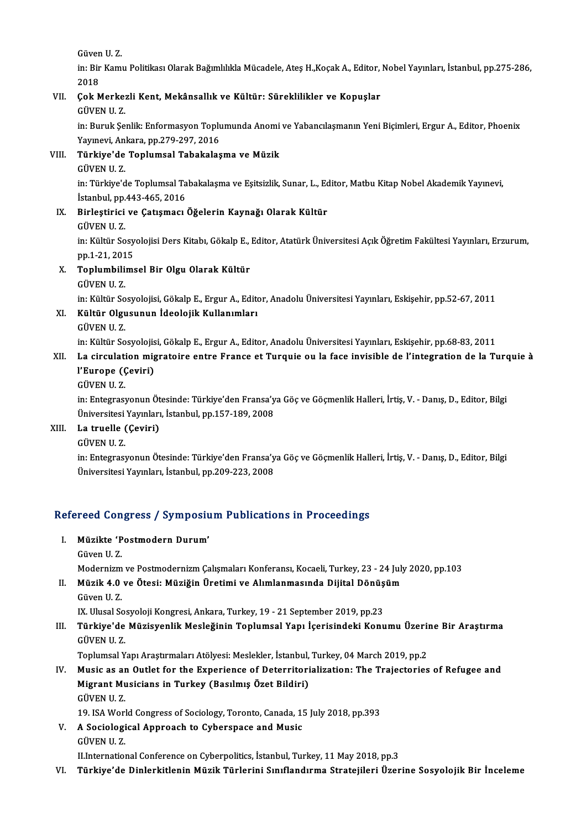GüvenU.Z.

Güven U. Z.<br>in: Bir Kamu Politikası Olarak Bağımlılıkla Mücadele, Ateş H.,Koçak A., Editor, Nobel Yayınları, İstanbul, pp.275-286,<br>2018 Güven<br>in: Bir<br>2018<br>Colz M in: Bir Kamu Politikası Olarak Bağımlılıkla Mücadele, Ateş H.,Koçak A., Editor,<br>2018<br>VII. 900k Merkezli Kent, Mekânsallık ve Kültür: Süreklilikler ve Kopuşlar<br>CÜVEN U. 7

# 2018<br>Çok Merke:<br>GÜVEN U. Z.<br>in: Buruk So

Çok Merkezli Kent, Mekânsallık ve Kültür: Süreklilikler ve Kopuşlar<br>GÜVEN U. Z.<br>in: Buruk Şenlik: Enformasyon Toplumunda Anomi ve Yabancılaşmanın Yeni Biçimleri, Ergur A., Editor, Phoenix<br>Yaynayi, Ankara, pp.279,297,2016 GÜVEN U. Z.<br>in: Buruk Şenlik: Enformasyon Toplu<br>Yayınevi, Ankara, pp.279-297, 2016<br>Türkiye'de Tenlumsal Tabakalas in: Buruk Şenlik: Enformasyon Toplumunda Anomi<br>Yayınevi, Ankara, pp.279-297, 2016<br>VIII. Türkiye'de Toplumsal Tabakalaşma ve Müzik<br>CÜYEN II 7

Yayınevi, Ankara, pp.279-297, 2016<br>Türkiye'de Toplumsal Tabakalaşma ve Müzik<br>GÜVEN U. Z.

Türkiye'de Toplumsal Tabakalaşma ve Müzik<br>GÜVEN U. Z.<br>in: Türkiye'de Toplumsal Tabakalaşma ve Eşitsizlik, Sunar, L., Editor, Matbu Kitap Nobel Akademik Yayınevi,<br>İstanbul ap 443,465,2016 GÜVEN U. Z.<br>in: Türkiye'de Toplumsal Ta<br>İstanbul, pp.443-465, 2016<br>Birlestinisi ve Catısması in: Türkiye'de Toplumsal Tabakalaşma ve Eşitsizlik, Sunar, L., Editanbul, pp.443-465, 2016<br>IX. Birleştirici ve Çatışmacı Öğelerin Kaynağı Olarak Kültür<br>CÜVEN U.Z

İstanbul, pp.443-465, 2016<br>IX. Birleştirici ve Çatışmacı Öğelerin Kaynağı Olarak Kültür<br>GÜVEN U. Z.

Birleştirici ve Çatışmacı Öğelerin Kaynağı Olarak Kültür<br>GÜVEN U. Z.<br>in: Kültür Sosyolojisi Ders Kitabı, Gökalp E., Editor, Atatürk Üniversitesi Açık Öğretim Fakültesi Yayınları, Erzurum,<br>nn 1-21-2015 GÜVEN U. Z.<br>in: Kültür Sosy<br>pp.1-21, 2015<br>Tonlumbilime in: Kültür Sosyolojisi Ders Kitabı, Gökalp E.,<br>pp.1-21, 2015<br>X. Toplumbilimsel Bir Olgu Olarak Kültür<br>CÜVEN H.Z

- pp.1-21, 201<br><mark>Toplumbili</mark><br>GÜVEN U. Z.<br>in: <sup>Kültün So</sub></sup>
	-

Toplumbilimsel Bir Olgu Olarak Kültür<br>GÜVEN U. Z.<br>in: Kültür Sosyolojisi, Gökalp E., Ergur A., Editor, Anadolu Üniversitesi Yayınları, Eskişehir, pp.52-67, 2011<br>Kültür Olayayının İdoolojik Kullanımları

GÜVEN U. Z.<br>in: Kültür Sosyolojisi, Gökalp E., Ergur A., Edita<br>XI. **Kültür Olgusunun İdeolojik Kullanımları**<br>GÜVEN U. Z. in: Kültür So<br><mark>Kültür Olgu</mark><br>GÜVEN U. Z.<br>in: Kültür So

Kültür Olgusunun İdeolojik Kullanımları<br>GÜVEN U. Z.<br>in: Kültür Sosyolojisi, Gökalp E., Ergur A., Editor, Anadolu Üniversitesi Yayınları, Eskişehir, pp.68-83, 2011<br>La sirsulation misratoire entre Eranse et Tursuje eu la fas

## GÜVEN U. Z.<br>in: Kültür Sosyolojisi, Gökalp E., Ergur A., Editor, Anadolu Üniversitesi Yayınları, Eskişehir, pp.68-83, 2011<br>XII. La circulation migratoire entre France et Turquie ou la face invisible de l'integration de in: Kültür Sosyolojis<br>La circulation mig<br>l'Europe (Çeviri)<br>CÜVEN U 7 La circulati<br>l'Europe ((<br>GÜVEN U. Z.<br>in: Entegress

l'Europe (Çeviri)<br>GÜVEN U. Z.<br>in: Entegrasyonun Ötesinde: Türkiye'den Fransa'ya Göç ve Göçmenlik Halleri, İrtiş, V. - Danış, D., Editor, Bilgi<br>Üniversitesi Yayınları, İstanbul, pp.157,189,2008 GÜVEN U. Z.<br>in: Entegrasyonun Ötesinde: Türkiye'den Fransa'y<br>Üniversitesi Yayınları, İstanbul, pp.157-189, 2008<br>La truelle (Coviri) Üniversitesi Yayınları, İstanbul, pp.157-189, 2008

XIII. La truelle (Çeviri)<br>GÜVEN U. Z.

La truelle (Çeviri)<br>GÜVEN U. Z.<br>in: Entegrasyonun Ötesinde: Türkiye'den Fransa'ya Göç ve Göçmenlik Halleri, İrtiş, V. - Danış, D., Editor, Bilgi<br>Üniversitesi Yayınları, İstanbul, pp.200,222,2009 GÜVEN U. Z.<br>in: Entegrasyonun Ötesinde: Türkiye'den Fransa'y<br>Üniversitesi Yayınları, İstanbul, pp.209-223, 2008

# oniversitesi rayiniari, istanbui, pp.209-223, 2008<br>Refereed Congress / Symposium Publications in Proceedings

- efereed Congress / Symposiu<br>I. Müzikte 'Postmodern Durum'<br>Cüyan II 7 I. Müzikte 'Postmodern Durum'<br>Güven U.Z. Modernizm ve Postmodernizm Çalışmaları Konferansı, Kocaeli, Turkey, 23 - 24 July 2020, pp.103 Güven U. Z.<br>Modernizm ve Postmodernizm Çalışmaları Konferansı, Kocaeli, Turkey, 23 - 24 July<br>II. Müzik 4.0 ve Ötesi: Müziğin Üretimi ve Alımlanmasında Dijital Dönüşüm<br>Güyen H. Z
- Modernizm<br><mark>Müzik 4.0</mark><br>Güven U. Z.<br>IV. Ulusal Sc Müzik 4.0 ve Ötesi: Müziğin Üretimi ve Alımlanmasında Dijital Dönüş<br>Güven U. Z.<br>IX. Ulusal Sosyoloji Kongresi, Ankara, Turkey, 19 - 21 September 2019, pp.23<br>Türkiye'de Müzisyenlik Mesleğinin Tenlumsal Yanı İserisindeki Ken

Güven U. Z.<br>IX. Ulusal Sosyoloji Kongresi, Ankara, Turkey, 19 - 21 September 2019, pp.23<br>III. Türkiye'de Müzisyenlik Mesleğinin Toplumsal Yapı İçerisindeki Konumu Üzerine Bir Araştırma<br>CÜVEN U. Z IX. Ulusal So<mark>.</mark><br>**Türkiye'de**<br>GÜVEN U. Z.<br>Toplumsal V Türkiye'de Müzisyenlik Mesleğinin Toplumsal Yapı İçerisindeki Konumu Üzeriı<br>GÜVEN U. Z.<br>Toplumsal Yapı Araştırmaları Atölyesi: Meslekler, İstanbul, Turkey, 04 March 2019, pp.2<br>Musia as an Qutlet for the Eunerianes of Deter

GÜVEN U. Z.<br>Toplumsal Yapı Araştırmaları Atölyesi: Meslekler, İstanbul, Turkey, 04 March 2019, pp.2<br>IV. Music as an Outlet for the Experience of Deterritorialization: The Trajectories of Refugee and<br>Migrent Musicians i Toplumsal Yapı Araştırmaları Atölyesi: Meslekler, İstanbul,<br>Music as an Outlet for the Experience of Deterritori<br>Migrant Musicians in Turkey (Basılmış Özet Bildiri)<br>CÜVEN U 7 Music as ar<br>Migrant Mu<br>GÜVEN U. Z.<br>19. JSA Werl Migrant Musicians in Turkey (Basılmış Özet Bildiri)<br>GÜVEN U. Z.<br>19. ISA World Congress of Sociology, Toronto, Canada, 15 July 2018, pp.393<br>A Sociologisal Annyeash to Gybersnase and Music

GÜVEN U. Z.<br>19. ISA World Congress of Sociology, Toronto, Canada, 1<br>V. A Sociological Approach to Cyberspace and Music<br>GÜVEN U. Z. 19. ISA Worl<br>A Sociologi<br>GÜVEN U. Z.<br>U Internation

II.International Conference on Cyberpolitics, İstanbul, Turkey, 11 May 2018, pp.3

VI. Türkiye'de DinlerkitleninMüzik Türlerini Sınıflandırma Stratejileri Üzerine Sosyolojik Bir İnceleme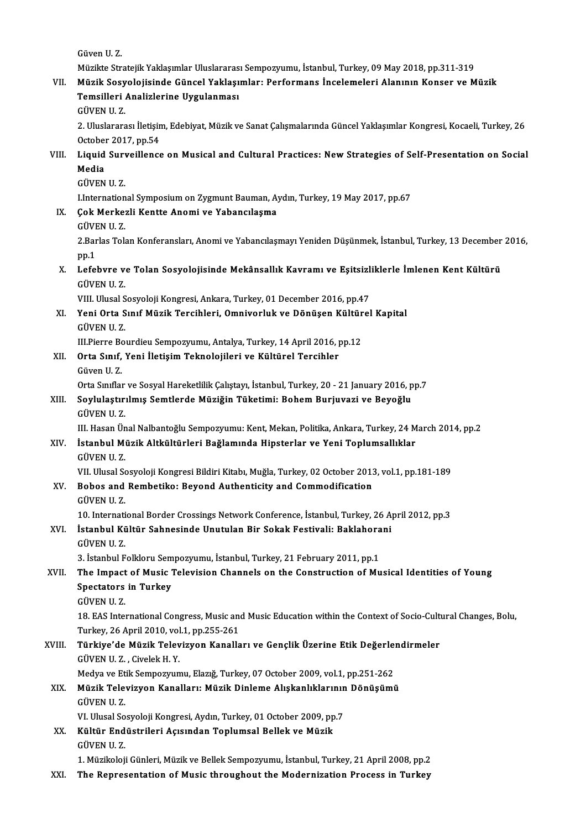GüvenU.Z.

Güven U. Z.<br>Müzikte Stratejik Yaklaşımlar Uluslararası Sempozyumu, İstanbul, Turkey, 09 May 2018, pp.311-319<br>Müzik Sesvelejisinde Cünsel Yaklasımları: Performans İnselemeleri Alenının Konser ve M

## Güven U. Z.<br>Müzikte Stratejik Yaklaşımlar Uluslararası Sempozyumu, İstanbul, Turkey, 09 May 2018, pp.311-319<br>VII. Müzik Sosyolojisinde Güncel Yaklaşımlar: Performans İncelemeleri Alanının Konser ve Müzik<br>Temsilleri Ana Müzikte Stratejik Yaklaşımlar Uluslararas<br>Müzik Sosyolojisinde Güncel Yaklaşı<br>Temsilleri Analizlerine Uygulanması<br>Güyen u 7 Müzik Sosy<br>Temsilleri<br>GÜVEN U. Z.<br>2. Uluslarara

Temsilleri Analizlerine Uygulanması<br>GÜVEN U. Z.<br>2. Uluslararası İletişim, Edebiyat, Müzik ve Sanat Çalışmalarında Güncel Yaklaşımlar Kongresi, Kocaeli, Turkey, 26<br>Ostabar 2017, pp.54 GÜVEN U. Z.<br>2. Uluslararası İletişin<br>October 2017, pp.54<br>Liauid Survoillongs 2. Uluslararası İletişim, Edebiyat, Müzik ve Sanat Çalışmalarında Güncel Yaklaşımlar Kongresi, Kocaeli, Turkey, 26<br>October 2017, pp.54<br>VIII. Liquid Surveillence on Musical and Cultural Practices: New Strategies of Self

## October<br><mark>Liquid</mark><br>Media<br>CÜVEN Liquid Sur<mark>v</mark><br>Media<br>GÜVEN U. Z.<br>Unternation Media<br>GÜVEN U. Z.<br>LInternational Symposium on Zygmunt Bauman, Aydın, Turkey, 19 May 2017, pp.67<br>Sek Merkerli Kentte Anemi ve Yabengılasma

- GÜVEN U. Z.<br>I.International Symposium on Zygmunt Bauman, A<br>IX. Cok Merkezli Kentte Anomi ve Yabancılaşma<br>GÜVEN U. Z. LInternation<br>**Çok Merke:**<br>GÜVEN U. Z.<br>2 Berles Tok
	-

Çok Merkezli Kentte Anomi ve Yabancılaşma<br>GÜVEN U. Z.<br>2.Barlas Tolan Konferansları, Anomi ve Yabancılaşmayı Yeniden Düşünmek, İstanbul, Turkey, 13 December 2016,<br>nn 1 GÜVE<br>2.Bar<br>pp.1 2.Barlas Tolan Konferansları, Anomi ve Yabancılaşmayı Yeniden Düşünmek, İstanbul, Turkey, 13 December<br>pp.1<br>X. Lefebvre ve Tolan Sosyolojisinde Mekânsallık Kavramı ve Eşitsizliklerle İmlenen Kent Kültürü<br>CÜVEN II 7

## pp.1<br><mark>Lefebvre v</mark><br>GÜVEN U. Z.<br>VIII. Ulusal S Lefebvre ve Tolan Sosyolojisinde Mekânsallık Kavramı ve Eşitsizl<br>GÜVEN U. Z.<br>VIII. Ulusal Sosyoloji Kongresi, Ankara, Turkey, 01 December 2016, pp.47<br>Yoni Orta Sunf Mürik Tonsibleri, Omnivonluk ve Dönüsen Kültürel

GÜVEN U. Z.<br>VIII. Ulusal Sosyoloji Kongresi, Ankara, Turkey, 01 December 2016, pp.47<br>XI. Yeni Orta Sınıf Müzik Tercihleri, Omnivorluk ve Dönüşen Kültürel Kapital<br>CÜVEN U. 7 VIII. Ulusal Sosyoloji Kongresi, Ankara, Turkey, 01 December 2016, pp.47<br>Yeni Orta Sınıf Müzik Tercihleri, Omnivorluk ve Dönüşen Kültüre<br>GÜVEN U. Z. Yeni Orta Sınıf Müzik Tercihleri, Omnivorluk ve Dönüşen Kültür<br>GÜVEN U. Z.<br>III.Pierre Bourdieu Sempozyumu, Antalya, Turkey, 14 April 2016, pp.12<br>Orta Sınıf Yoni İletisim Teknolojileri ve Kültürel Tersihler

III. Pierre Bourdieu Sempozyumu, Antalya, Turkey, 14 April 2016, pp.12

### XII. Orta Sınıf, Yeni İletişim Teknolojileri ve Kültürel Tercihler<br>Güven U.Z. Orta Sınıf, Yeni İletişim Teknolojileri ve Kültürel Tercihler<br>Güven U. Z.<br>Orta Sınıflar ve Sosyal Hareketlilik Çalıştayı, İstanbul, Turkey, 20 - 21 January 2016, pp.7<br>Sovlulastırılmış Somtlarda Müziğin Tüketimi; Pohom Buri

### Güven U. Z.<br>Orta Sınıflar ve Sosyal Hareketlilik Çalıştayı, İstanbul, Turkey, 20 - 21 January 2016, p<br>XIII. Soylulaştırılmış Semtlerde Müziğin Tüketimi: Bohem Burjuvazi ve Beyoğlu<br>CÜVEN U. Z Orta Sınıflar<br><mark>Soylulaştır</mark><br>GÜVEN U. Z.<br>III. Hasan Ün XIII. Soylulaştırılmış Semtlerde Müziğin Tüketimi: Bohem Burjuvazi ve Beyoğlu<br>GÜVEN U. Z.<br>III. Hasan Ünal Nalbantoğlu Sempozyumu: Kent, Mekan, Politika, Ankara, Turkey, 24 March 2014, pp.2 GÜVEN U. Z.<br>III. Hasan Ünal Nalbantoğlu Sempozyumu: Kent, Mekan, Politika, Ankara, Turkey, 24 M<br>XIV. İstanbul Müzik Altkültürleri Bağlamında Hipsterlar ve Yeni Toplumsallıklar<br>CÜVEN II. Z

# III. Hasan Ün<br>**İstanbul M**i<br>GÜVEN U. Z.<br>VII. Ulucal Sc

İstanbul Müzik Altkültürleri Bağlamında Hipsterlar ve Yeni Toplumsallıklar<br>GÜVEN U. Z.<br>VII. Ulusal Sosyoloji Kongresi Bildiri Kitabı, Muğla, Turkey, 02 October 2013, vol.1, pp.181-189<br>Bobes and Bombatiko: Boyand Authentisi

## GÜVEN U. Z.<br>VII. Ulusal Sosyoloji Kongresi Bildiri Kitabı, Muğla, Turkey, 02 October 201.<br>XV. Bobos and Rembetiko: Beyond Authenticity and Commodification<br>GÜVEN U. Z. VII. Ulusal So<br>Bobos and<br>GÜVEN U. Z.<br>10. Internati 10. Bobos and Rembetiko: Beyond Authenticity and Commodification<br>10. International Border Crossings Network Conference, İstanbul, Turkey, 26 April 2012, pp.3<br>İstanbul Kültür Sohnesinde Unutulen Bir Sokak Festivali: Boklabe

## GÜVEN U. Z.<br>10. International Border Crossings Network Conference, İstanbul, Turkey, 26 A<sub>.</sub><br>XVI. İstanbul Kültür Sahnesinde Unutulan Bir Sokak Festivali: Baklahorani 10. Internati<br>İstanbul Kü<br>GÜVEN U.Z. İstanbul Kültür Sahnesinde Unutulan Bir Sokak Festivali: Baklahora<br>GÜVEN U. Z.<br>3. İstanbul Folkloru Sempozyumu, İstanbul, Turkey, 21 February 2011, pp.1<br>The Impest of Musis Televisian Channels en the Construction of Mu

## GÜVEN U. Z.<br>3. Istanbul Folkloru Sempozyumu, İstanbul, Turkey, 21 February 2011, pp.1<br>XVII. The Impact of Music Television Channels on the Construction of Musical Identities of Young<br>Spectators in Turkey. 3. Istanbul Folkloru Sempozyumu, Istanbul, Turkey, 21 February 2011, pp.1<br>The Impact of Music Television Channels on the Construction of Music<br>Spectators in Turkey<br>GÜVEN U. Z. The Impact<br>Spectators<br>GÜVEN U.Z.<br>19. EAS Intel

18. EAS International Congress, Music and Music Education within the Context of Socio-Cultural Changes, Bolu, GÜVEN U. Z.<br>18. EAS International Congress, Music and<br>Türkey, 26 April 2010, vol.1, pp.255-261<br>Türkiye'de Mürik Televizyen, Kanalla 18. EAS International Congress, Music and Music Education within the Context of Socio-Cult<br>Turkey, 26 April 2010, vol.1, pp.255-261<br>XVIII. Türkiye'de Müzik Televizyon Kanalları ve Gençlik Üzerine Etik Değerlendirmeler<br>CÜVE

## Turkey, 26 April 2010, vol<br>**Türkiye'de Müzik Telev**<br>GÜVEN U. Z. , Civelek H. Y.<br>Medya ve Etik Semnewur Türkiye'de Müzik Televizyon Kanalları ve Gençlik Üzerine Etik Değerle:<br>GÜVEN U. Z. , Civelek H. Y.<br>Medya ve Etik Sempozyumu, Elazığ, Turkey, 07 October 2009, vol.1, pp.251-262<br>Müzik Televizyen Kanalları: Müzik Dipleme Alıs

Medya ve Etik Sempozyumu, Elazığ, Turkey, 07 October 2009, vol.1, pp.251-262

## GÜVEN U. Z. , Civelek H. Y.<br>Medya ve Etik Sempozyumu, Elazığ, Turkey, 07 October 2009, vol.1, pp.251-262<br>XIX. Müzik Televizyon Kanalları: Müzik Dinleme Alışkanlıklarının Dönüşümü<br>GÜVEN U. Z. Müzik Televizyon Kanalları: Müzik Dinleme Alışkanlıklarının<br>GÜVEN U. Z.<br>VI. Ulusal Sosyoloji Kongresi, Aydın, Turkey, 01 October 2009, pp.7<br>Kültür Endüstrileri Asısından Tanlumsal Ballek ve Müzik

XX. Kültür Endüstrileri Açısından Toplumsal Bellek ve Müzik GÜVEN U.Z. VI. Ulusal So<br><mark>Kültür End</mark><br>GÜVEN U. Z.<br>1. Mürikaleji

1.MüzikolojiGünleri,MüzikveBelekSempozyumu, İstanbul,Turkey,21April2008,pp.2

XXI. The Representation of Music throughout the Modernization Process in Turkey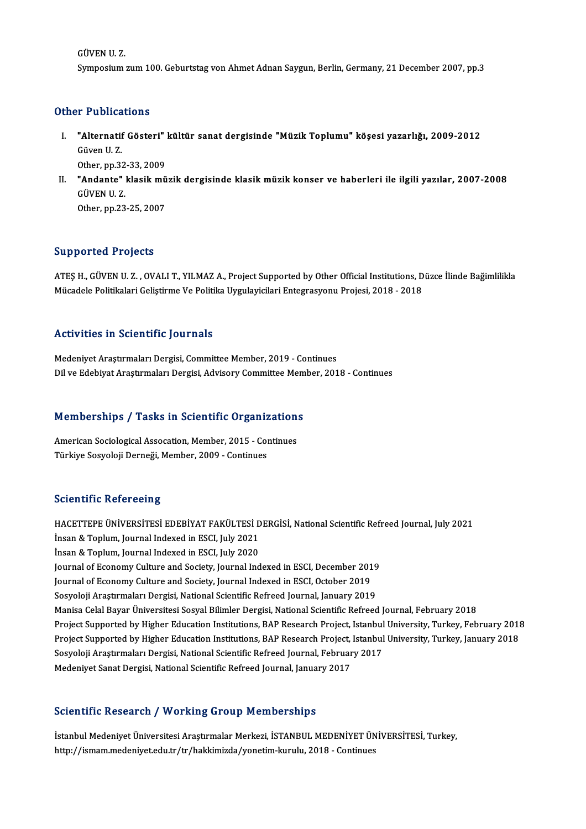GÜVENU.Z. Symposium zum 100. Geburtstag von Ahmet Adnan Saygun, Berlin, Germany, 21 December 2007, pp.3

#### Other Publications

- ther Publications<br>I. "Alternatif Gösteri" kültür sanat dergisinde "Müzik Toplumu" köşesi yazarlığı, 2009-2012<br>Cüyen II 7 The abstract<br>Malternatif<br>Güven U.Z. **"Alternatif Gösteri"**<br>Güven U. Z.<br>Other, pp.32-33, 2009<br>"Andanta" klasik mü Other, pp 32-33, 2009
- Güven U. Z.<br>Other, pp.32-33, 2009<br>II. "Andante" klasik müzik dergisinde klasik müzik konser ve haberleri ile ilgili yazılar, 2007-2008<br>GÜVEN U. Z. Other,pp.23-25,2007

#### Supported Projects

Supported Projects<br>ATEŞ H., GÜVEN U. Z. , OVALI T., YILMAZ A., Project Supported by Other Official Institutions, Düzce İlinde Bağimlilikla<br>Müsadele Belitikaları Celistinne Ve Belitika Uysularisiları Entegresyonu Prejesi, 2 Bupportea Trojects<br>ATEŞ H., GÜVEN U. Z. , OVALI T., YILMAZ A., Project Supported by Other Official Institutions, D<br>Mücadele Politikalari Geliştirme Ve Politika Uygulayicilari Entegrasyonu Projesi, 2018 - 2018 Mücadele Politikalari Geliştirme Ve Politika Uygulayicilari Entegrasyonu Projesi, 2018 - 2018<br>Activities in Scientific Journals

Medeniyet Araştırmaları Dergisi, Committee Member, 2019 - Continues Dil ve Edebiyat Araştırmaları Dergisi, Advisory Committee Member, 2018 - Continues

# Dil ve Edebiyat Araşurmaları Dergisi, Advisory Committee Mem<br>Memberships / Tasks in Scientific Organizations

Memberships / Tasks in Scientific Organization<br>American Sociological Assocation, Member, 2015 - Continues<br>Türkiye Socyaleji Derneği Member, 2009, Centinues American Sociological Assocation, Member, 2015 - Continues<br>Türkiye Sosyoloji Derneği, Member, 2009 - Continues

#### **Scientific Refereeing**

Scientific Refereeing<br>HACETTEPE ÜNİVERSİTESİ EDEBİYAT FAKÜLTESİ DERGİSİ, National Scientific Refreed Journal, July 2021<br>İnsan & Tanlum Journal Indoved in ESCI July 2021 **ESCOLUTTE INSTEDUCES**<br>HACETTEPE ÜNIVERSITESI EDEBIYAT FAKÜLTESI D<br>İnsan & Toplum, Journal Indexed in ESCI, July 2021<br>İnsan & Toplum, Journal Indexed in ESCI, July 2020 HACETTEPE ÜNİVERSİTESİ EDEBİYAT FAKÜLTESİ D<br>İnsan & Toplum, Journal Indexed in ESCI, July 2021<br>İnsan & Toplum, Journal Indexed in ESCI, July 2020<br>Journal of Economy Culture and Society, Journal Ind İnsan & Toplum, Journal Indexed in ESCI, July 2021<br>İnsan & Toplum, Journal Indexed in ESCI, July 2020<br>Journal of Economy Culture and Society, Journal Indexed in ESCI, December 2019 Insan & Toplum, Journal Indexed in ESCI, July 2020<br>Journal of Economy Culture and Society, Journal Indexed in ESCI, December 201<br>Journal of Economy Culture and Society, Journal Indexed in ESCI, October 2019<br>Sesvelaii Arest Journal of Economy Culture and Society, Journal Indexed in ESCI, December 2019<br>Journal of Economy Culture and Society, Journal Indexed in ESCI, October 2019<br>Sosyoloji Araştırmaları Dergisi, National Scientific Refreed Jour Sosyoloji Araştırmaları Dergisi, National Scientific Refreed Journal, January 2019<br>Manisa Celal Bayar Üniversitesi Sosyal Bilimler Dergisi, National Scientific Refreed Journal, February 2018 Sosyoloji Araştırmaları Dergisi, National Scientific Refreed Journal, January 2019<br>Manisa Celal Bayar Üniversitesi Sosyal Bilimler Dergisi, National Scientific Refreed Journal, February 2018<br>Project Supported by Higher Edu Manisa Celal Bayar Üniversitesi Sosyal Bilimler Dergisi, National Scientific Refreed Journal, February 2018<br>Project Supported by Higher Education Institutions, BAP Research Project, Istanbul University, Turkey, February 20 Project Supported by Higher Education Institutions, BAP Research Project, Istanbul<br>Project Supported by Higher Education Institutions, BAP Research Project, Istanbul<br>Sosyoloji Araştırmaları Dergisi, National Scientific Ref Project Supported by Higher Education Institutions, BAP Research Project, Istanbul University, Turkey, January 2018<br>Sosyoloji Araştırmaları Dergisi, National Scientific Refreed Journal, February 2017<br>Medeniyet Sanat Dergis

### Scientific Research / Working Group Memberships

İstanbul Medeniyet Üniversitesi Araştırmalar Merkezi, İSTANBUL MEDENİYET ÜNİVERSİTESİ, Turkey, http://ismam.medeniyet.edu.tr/tr/hakkimizda/yonetim-kurulu, 2018 - Continues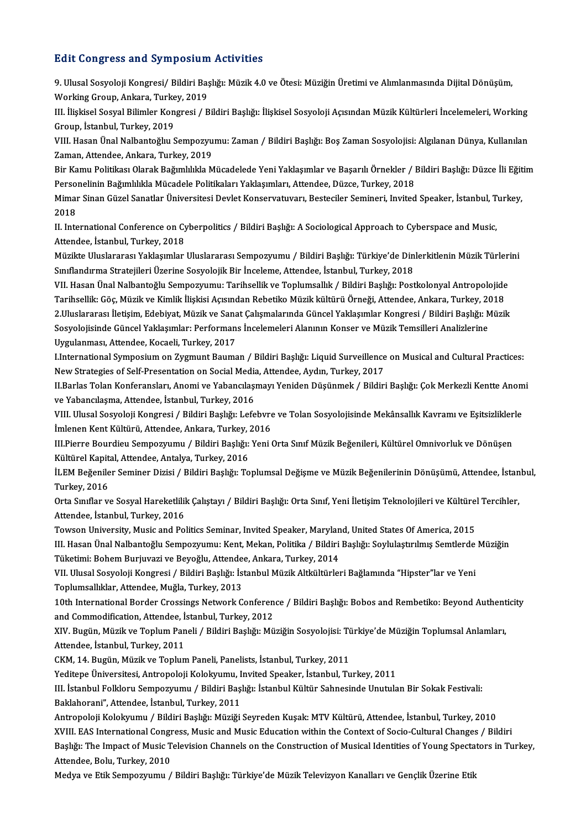#### **Edit Congress and Symposium Activities**

Edit Congress and Symposium Activities<br>9. Ulusal Sosyoloji Kongresi/ Bildiri Başlığı: Müzik 4.0 ve Ötesi: Müziğin Üretimi ve Alımlanmasında Dijital Dönüşüm,<br>Working Croup, Ankara, Turkov, 2019 Mart Gongroup and by mpostam<br>9. Ulusal Sosyoloji Kongresi/ Bildiri Baş<br>Working Group, Ankara, Turkey, 2019<br>III. İliskisel Sosyal Bilimler Kongresi ( P 9. Ulusal Sosyoloji Kongresi/ Bildiri Başlığı: Müzik 4.0 ve Ötesi: Müziğin Üretimi ve Alımlanmasında Dijital Dönüşüm,<br>Working Group, Ankara, Turkey, 2019<br>III. İlişkisel Sosyal Bilimler Kongresi / Bildiri Başlığı: İlişkisel

Working Group, Ankara, Turke<br>III. İlişkisel Sosyal Bilimler Kon<br>Group, İstanbul, Turkey, 2019<br>VIII. Hesen Ünel Nelbenteğlu, S III. İlişkisel Sosyal Bilimler Kongresi / Bildiri Başlığı: İlişkisel Sosyoloji Açısından Müzik Kültürleri İncelemeleri, Working<br>Group, İstanbul, Turkey, 2019<br>VIII. Hasan Ünal Nalbantoğlıu Sempozyumu: Zaman / Bildiri Başlığ

Group, İstanbul, Turkey, 2019<br>VIII. Hasan Ünal Nalbantoğlıu Sempozyumu: Zaman / Bildiri Başlığı: Boş Zaman Sosyolojisi: Algılanan Dünya, Kullanılan<br>Zaman, Attendee, Ankara, Turkey, 2019 VIII. Hasan Ünal Nalbantoğlıu Sempozyumu: Zaman / Bildiri Başlığı: Boş Zaman Sosyolojisi: Algılanan Dünya, Kullanılan<br>Zaman, Attendee, Ankara, Turkey, 2019<br>Bir Kamu Politikası Olarak Bağımlılıkla Mücadelede Yeni Yaklaşımla

Zaman, Attendee, Ankara, Turkey, 2019<br>Bir Kamu Politikası Olarak Bağımlılıkla Mücadelede Yeni Yaklaşımlar ve Başarılı Örnekler / I<br>Personelinin Bağımlılıkla Mücadele Politikaları Yaklaşımları, Attendee, Düzce, Turkey, 2018 Bir Kamu Politikası Olarak Bağımlılıkla Mücadelede Yeni Yaklaşımlar ve Başarılı Örnekler / Bildiri Başlığı: Düzce İli Eğit<br>Personelinin Bağımlılıkla Mücadele Politikaları Yaklaşımları, Attendee, Düzce, Turkey, 2018<br>Mimar S

Perso:<br>Mimai<br>2018<br><sup>II Inte</sup> Mimar Sinan Güzel Sanatlar Üniversitesi Devlet Konservatuvarı, Besteciler Semineri, Invited Speaker, İstanbul, T<br>2018<br>II. International Conference on Cyberpolitics / Bildiri Başlığı: A Sociological Approach to Cyberspace a

2018<br>II. International Conference on Cyberpolitics / Bildiri Başlığı: A Sociological Approach to Cyberspace and Music,<br>Attendee, İstanbul, Turkey, 2018 II. International Conference on Cyberpolitics / Bildiri Başlığı: A Sociological Approach to Cyberspace and Music,<br>Attendee, İstanbul, Turkey, 2018<br>Müzikte Uluslararası Yaklaşımlar Uluslararası Sempozyumu / Bildiri Başlığı:

Attendee, İstanbul, Turkey, 2018<br>Müzikte Uluslararası Yaklaşımlar Uluslararası Sempozyumu / Bildiri Başlığı: Türkiye'de Din<br>Sınıflandırma Stratejileri Üzerine Sosyolojik Bir İnceleme, Attendee, İstanbul, Turkey, 2018<br>VIL H Müzikte Uluslararası Yaklaşımlar Uluslararası Sempozyumu / Bildiri Başlığı: Türkiye'de Dinlerkitlenin Müzik Türleri<br>Sınıflandırma Stratejileri Üzerine Sosyolojik Bir İnceleme, Attendee, İstanbul, Turkey, 2018<br>VII. Hasan Ün

Sınıflandırma Stratejileri Üzerine Sosyolojik Bir İnceleme, Attendee, İstanbul, Turkey, 2018<br>VII. Hasan Ünal Nalbantoğlu Sempozyumu: Tarihsellik ve Toplumsallık / Bildiri Başlığı: Postkolonyal Antropolojide<br>Tarihsellik: Gö VII. Hasan Ünal Nalbantoğlu Sempozyumu: Tarihsellik ve Toplumsallık / Bildiri Başlığı: Postkolonyal Antropolojide<br>Tarihsellik: Göç, Müzik ve Kimlik İlişkisi Açısından Rebetiko Müzik kültürü Örneği, Attendee, Ankara, Turkey Tarihsellik: Göç, Müzik ve Kimlik İlişkisi Açısından Rebetiko Müzik kültürü Örneği, Attendee, Ankara, Turkey, 2<br>2.Uluslararası İletişim, Edebiyat, Müzik ve Sanat Çalışmalarında Güncel Yaklaşımlar Kongresi / Bildiri Başlığı 2.Uluslararası İletişim, Edebiyat, Müzik ve Sana<br>Sosyolojisinde Güncel Yaklaşımlar: Performan<br>Uygulanması, Attendee, Kocaeli, Turkey, 2017<br>Unternational Sumnesium en Zygmunt Beuma Sosyolojisinde Güncel Yaklaşımlar: Performans İncelemeleri Alanının Konser ve Müzik Temsilleri Analizlerine<br>Uygulanması, Attendee, Kocaeli, Turkey, 2017<br>LInternational Symposium on Zygmunt Bauman / Bildiri Başlığı: Liquid

Uygulanması, Attendee, Kocaeli, Turkey, 2017<br>I.International Symposium on Zygmunt Bauman / Bildiri Başlığı: Liquid Surveillence<br>New Strategies of Self-Presentation on Social Media, Attendee, Aydın, Turkey, 2017<br>II Barlas T I.International Symposium on Zygmunt Bauman / Bildiri Başlığı: Liquid Surveillence on Musical and Cultural Practices:<br>New Strategies of Self-Presentation on Social Media, Attendee, Aydın, Turkey, 2017<br>II.Barlas Tolan Konfe

New Strategies of Self-Presentation on Social Media, Attendee, Aydın, Turkey, 2017<br>II.Barlas Tolan Konferansları, Anomi ve Yabancılaşmayı Yeniden Düşünmek / Bildiri Başlığı: Çok Merkezli Kentte Anomi<br>ve Yabancılaşma, Atten II.Barlas Tolan Konferansları, Anomi ve Yabancılaşmayı Yeniden Düşünmek / Bildiri Başlığı: Çok Merkezli Kentte Anom<br>ve Yabancılaşma, Attendee, İstanbul, Turkey, 2016<br>VIII. Ulusal Sosyoloji Kongresi / Bildiri Başlığı: Lefeb

ve Yabancılaşma, Attendee, İstanbul, Turkey, 2016<br>VIII. Ulusal Sosyoloji Kongresi / Bildiri Başlığı: Lefebvre<br>İmlenen Kent Kültürü, Attendee, Ankara, Turkey, 2016<br>III Biarre Bourdiau Semnerraymu / Bildiri Başlığı: Veni f VIII. Ulusal Sosyoloji Kongresi / Bildiri Başlığı: Lefebvre ve Tolan Sosyolojisinde Mekânsallık Kavramı ve Eşitsizlikler<br>İmlenen Kent Kültürü, Attendee, Ankara, Turkey, 2016<br>III.Pierre Bourdieu Sempozyumu / Bildiri Başlığı

İmlenen Kent Kültürü, Attendee, Ankara, Turkey, .<br>III.Pierre Bourdieu Sempozyumu / Bildiri Başlığı:<br>Kültürel Kapital, Attendee, Antalya, Turkey, 2016<br><sup>İLEM Boğonilor Sominor Dirisi / Bildiri Baslığı: To</sup>

III.Pierre Bourdieu Sempozyumu / Bildiri Başlığı: Yeni Orta Sınıf Müzik Beğenileri, Kültürel Omnivorluk ve Dönüşen<br>Kültürel Kapital, Attendee, Antalya, Turkey, 2016<br>İLEM Beğeniler Seminer Dizisi / Bildiri Başlığı: Toplumsa Kültürel Kapit<br>İLEM Beğenile<br>Turkey, 2016<br>Orta Sınıflar v İLEM Beğeniler Seminer Dizisi / Bildiri Başlığı: Toplumsal Değişme ve Müzik Beğenilerinin Dönüşümü, Attendee, İstan<br>Turkey, 2016<br>Orta Sınıflar ve Sosyal Hareketlilik Çalıştayı / Bildiri Başlığı: Orta Sınıf, Yeni İletişim T

Turkey, 2016<br>Orta Sınıflar ve Sosyal Hareketlilil<br>Attendee, İstanbul, Turkey, 2016<br>Tourean University, Music and Po Orta Sınıflar ve Sosyal Hareketlilik Çalıştayı / Bildiri Başlığı: Orta Sınıf, Yeni İletişim Teknolojileri ve Kültüre<br>Attendee, İstanbul, Turkey, 2016<br>Towson University, Music and Politics Seminar, Invited Speaker, Maryland

Attendee, İstanbul, Turkey, 2016<br>Towson University, Music and Politics Seminar, Invited Speaker, Maryland, United States Of America, 2015<br>III. Hasan Ünal Nalbantoğlu Sempozyumu: Kent, Mekan, Politika / Bildiri Başlığı: Soy Towson University, Music and Politics Seminar, Invited Speaker, Marylan<br>III. Hasan Ünal Nalbantoğlu Sempozyumu: Kent, Mekan, Politika / Bildiri<br>Tüketimi: Bohem Burjuvazi ve Beyoğlu, Attendee, Ankara, Turkey, 2014<br>VII. Illy III. Hasan Ünal Nalbantoğlu Sempozyumu: Kent, Mekan, Politika / Bildiri Başlığı: Soylulaştırılmış Semtlerde<br>Tüketimi: Bohem Burjuvazi ve Beyoğlu, Attendee, Ankara, Turkey, 2014<br>VII. Ulusal Sosyoloji Kongresi / Bildiri Başl

Tüketimi: Bohem Burjuvazi ve Beyoğlu, Attendee, Ankara, Turkey, 2014<br>VII. Ulusal Sosyoloji Kongresi / Bildiri Başlığı: İstanbul Müzik Altkültürleri Bağlamında "Hipster"lar ve Yeni<br>Toplumsallıklar, Attendee, Muğla, Turkey, VII. Ulusal Sosyoloji Kongresi / Bildiri Başlığı: İstanbul Müzik Altkültürleri Bağlamında "Hipster"lar ve Yeni<br>Toplumsallıklar, Attendee, Muğla, Turkey, 2013<br>10th International Border Crossings Network Conference / Bildiri

Toplumsallıklar, Attendee, Muğla, Turkey, 2013<br>10th International Border Crossings Network Conferen<br>and Commodification, Attendee, İstanbul, Turkey, 2012<br>XIV, Bugün, Müzik ve Tenlum Beneli / Bildiri Beshğu Mü 10th International Border Crossings Network Conference / Bildiri Başlığı: Bobos and Rembetiko: Beyond Authent<br>and Commodification, Attendee, İstanbul, Turkey, 2012<br>XIV. Bugün, Müzik ve Toplum Paneli / Bildiri Başlığı: Müzi

and Commodification, Attendee, İ.<br>XIV. Bugün, Müzik ve Toplum Pan<br>Attendee, İstanbul, Turkey, 2011<br>CKM 14 Bugün Müzik ve Toplun XIV. Bugün, Müzik ve Toplum Paneli / Bildiri Başlığı: Müziğin Sosyolojisi: Tü<br>Attendee, İstanbul, Turkey, 2011<br>CKM, 14. Bugün, Müzik ve Toplum Paneli, Panelists, İstanbul, Turkey, 2011<br>Yeditana Üniversitesi, Antronalaji Ka Attendee, İstanbul, Turkey, 2011<br>CKM, 14. Bugün, Müzik ve Toplum Paneli, Panelists, İstanbul, Turkey, 2011<br>Yeditepe Üniversitesi, Antropoloji Kolokyumu, Invited Speaker, İstanbul, Turkey, 2011<br>III. İstanbul Folklomı Samnoz

CKM, 14. Bugün, Müzik ve Toplum Paneli, Panelists, İstanbul, Turkey, 2011<br>Yeditepe Üniversitesi, Antropoloji Kolokyumu, Invited Speaker, İstanbul, Turkey, 2011<br>III. İstanbul Folkloru Sempozyumu / Bildiri Başlığı: İstanbul Yeditepe Üniversitesi, Antropoloji Kolokyumu, I<br>III. İstanbul Folkloru Sempozyumu / Bildiri Baş<br>Baklahorani", Attendee, İstanbul, Turkey, 2011<br>Antropoloji Kolokuymu / Bildiri Baslığu Müziği III. İstanbul Folkloru Sempozyumu / Bildiri Başlığı: İstanbul Kültür Sahnesinde Unutulan Bir Sokak Festivali:<br>Baklahorani", Attendee, İstanbul, Turkey, 2011<br>Antropoloji Kolokyumu / Bildiri Başlığı: Müziği Seyreden Kuşak: M

Baklahorani", Attendee, İstanbul, Turkey, 2011<br>Antropoloji Kolokyumu / Bildiri Başlığı: Müziği Seyreden Kuşak: MTV Kültürü, Attendee, İstanbul, Turkey, 2010<br>XVIII. EAS International Congress, Music and Music Education with Antropoloji Kolokyumu / Bildiri Başlığı: Müziği Seyreden Kuşak: MTV Kültürü, Attendee, İstanbul, Turkey, 2010<br>XVIII. EAS International Congress, Music and Music Education within the Context of Socio-Cultural Changes / Bild XVIII. EAS International Congr<br>Başlığı: The Impact of Music T<br>Attendee, Bolu, Turkey, 2010<br>Medya ve Etik Semnezzumu Başlığı: The Impact of Music Television Channels on the Construction of Musical Identities of Young Specta<br>Attendee, Bolu, Turkey, 2010<br>Medya ve Etik Sempozyumu / Bildiri Başlığı: Türkiye'de Müzik Televizyon Kanalları ve G